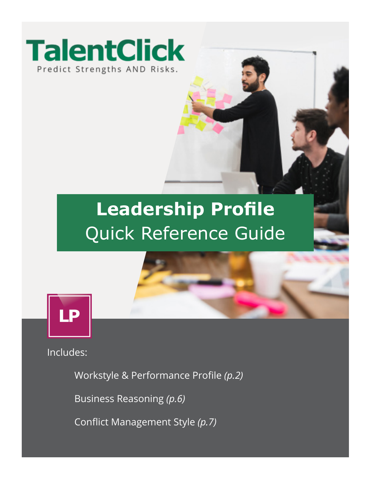

## **Leadership Profile** Quick Reference Guide



Includes:

Workstyle & Performance Profile *(p.2)*

Business Reasoning *(p.6)*

Conflict Management Style *(p.7)*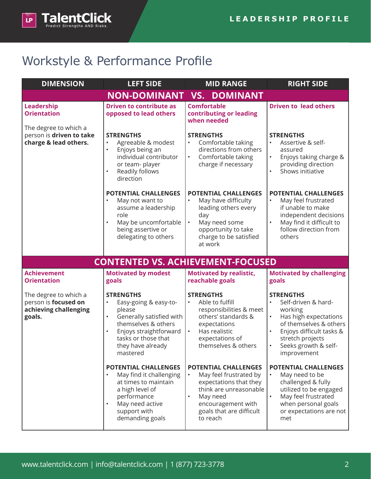

## Workstyle & Performance Profile

| <b>DIMENSION</b>                                                                 | <b>LEFT SIDE</b>                                                                                                                                                                                                                | <b>MID RANGE</b>                                                                                                                                                                                              | <b>RIGHT SIDE</b>                                                                                                                                                                                         |
|----------------------------------------------------------------------------------|---------------------------------------------------------------------------------------------------------------------------------------------------------------------------------------------------------------------------------|---------------------------------------------------------------------------------------------------------------------------------------------------------------------------------------------------------------|-----------------------------------------------------------------------------------------------------------------------------------------------------------------------------------------------------------|
|                                                                                  | <b>NON-DOMINANT</b>                                                                                                                                                                                                             | <b>VS. DOMINANT</b>                                                                                                                                                                                           |                                                                                                                                                                                                           |
| Leadership<br><b>Orientation</b>                                                 | <b>Driven to contribute as</b><br>opposed to lead others                                                                                                                                                                        | <b>Comfortable</b><br>contributing or leading<br>when needed                                                                                                                                                  | <b>Driven to lead others</b>                                                                                                                                                                              |
| The degree to which a<br>person is driven to take<br>charge & lead others.       | <b>STRENGTHS</b><br>Agreeable & modest<br>$\bullet$<br>Enjoys being an<br>$\bullet$<br>individual contributor<br>or team- player<br>Readily follows<br>$\bullet$<br>direction                                                   | <b>STRENGTHS</b><br>Comfortable taking<br>directions from others<br>Comfortable taking<br>$\bullet$<br>charge if necessary                                                                                    | <b>STRENGTHS</b><br>Assertive & self-<br>assured<br>Enjoys taking charge &<br>providing direction<br>Shows initiative                                                                                     |
|                                                                                  | <b>POTENTIAL CHALLENGES</b><br>May not want to<br>$\bullet$<br>assume a leadership<br>role<br>May be uncomfortable<br>$\bullet$<br>being assertive or<br>delegating to others                                                   | <b>POTENTIAL CHALLENGES</b><br>May have difficulty<br>leading others every<br>day<br>May need some<br>$\bullet$<br>opportunity to take<br>charge to be satisfied<br>at work                                   | <b>POTENTIAL CHALLENGES</b><br>May feel frustrated<br>if unable to make<br>independent decisions<br>May find it difficult to<br>follow direction from<br>others                                           |
|                                                                                  | <b>CONTENTED VS. ACHIEVEMENT-FOCUSED</b>                                                                                                                                                                                        |                                                                                                                                                                                                               |                                                                                                                                                                                                           |
| <b>Achievement</b><br><b>Orientation</b>                                         | <b>Motivated by modest</b><br>goals                                                                                                                                                                                             | <b>Motivated by realistic,</b><br>reachable goals                                                                                                                                                             | <b>Motivated by challenging</b><br>goals                                                                                                                                                                  |
| The degree to which a<br>person is focused on<br>achieving challenging<br>goals. | <b>STRENGTHS</b><br>Easy-going & easy-to-<br>$\bullet$<br>please<br>Generally satisfied with<br>$\bullet$<br>themselves & others<br>Enjoys straightforward<br>$\bullet$<br>tasks or those that<br>they have already<br>mastered | <b>STRENGTHS</b><br>Able to fulfill<br>responsibilities & meet<br>others' standards &<br>expectations<br>Has realistic<br>$\bullet$<br>expectations of<br>themselves & others                                 | <b>STRENGTHS</b><br>Self-driven & hard-<br>working<br>Has high expectations<br>of themselves & others<br>Enjoys difficult tasks &<br>stretch projects<br>Seeks growth & self-<br>$\bullet$<br>improvement |
|                                                                                  | POTENTIAL CHALLENGES<br>May find it challenging<br>at times to maintain<br>a high level of<br>performance<br>May need active<br>support with<br>demanding goals                                                                 | <b>POTENTIAL CHALLENGES</b><br>May feel frustrated by<br>$\bullet$<br>expectations that they<br>think are unreasonable<br>May need<br>$\bullet$<br>encouragement with<br>goals that are difficult<br>to reach | POTENTIAL CHALLENGES<br>May need to be<br>challenged & fully<br>utilized to be engaged<br>May feel frustrated<br>when personal goals<br>or expectations are not<br>met                                    |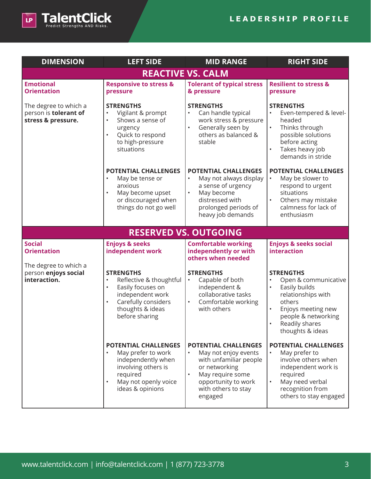

| <b>DIMENSION</b>                                                     | <b>LEFT SIDE</b>                                                                                                                                                                         | <b>MID RANGE</b>                                                                                                                                                                                      | <b>RIGHT SIDE</b>                                                                                                                                                                                      |
|----------------------------------------------------------------------|------------------------------------------------------------------------------------------------------------------------------------------------------------------------------------------|-------------------------------------------------------------------------------------------------------------------------------------------------------------------------------------------------------|--------------------------------------------------------------------------------------------------------------------------------------------------------------------------------------------------------|
|                                                                      |                                                                                                                                                                                          | <b>REACTIVE VS. CALM</b>                                                                                                                                                                              |                                                                                                                                                                                                        |
| <b>Emotional</b><br><b>Orientation</b>                               | <b>Responsive to stress &amp;</b><br>pressure                                                                                                                                            | <b>Tolerant of typical stress</b><br>& pressure                                                                                                                                                       | <b>Resilient to stress &amp;</b><br>pressure                                                                                                                                                           |
| The degree to which a<br>person is tolerant of<br>stress & pressure. | <b>STRENGTHS</b><br>Vigilant & prompt<br>$\bullet$<br>Shows a sense of<br>$\bullet$<br>urgency<br>Quick to respond<br>to high-pressure<br>situations                                     | <b>STRENGTHS</b><br>Can handle typical<br>work stress & pressure<br>Generally seen by<br>others as balanced &<br>stable                                                                               | <b>STRENGTHS</b><br>Even-tempered & level-<br>headed<br>Thinks through<br>possible solutions<br>before acting<br>Takes heavy job<br>demands in stride                                                  |
|                                                                      | <b>POTENTIAL CHALLENGES</b><br>May be tense or<br>$\bullet$<br>anxious<br>May become upset<br>$\bullet$<br>or discouraged when<br>things do not go well                                  | <b>POTENTIAL CHALLENGES</b><br>May not always display<br>a sense of urgency<br>May become<br>$\bullet$<br>distressed with<br>prolonged periods of<br>heavy job demands                                | <b>POTENTIAL CHALLENGES</b><br>May be slower to<br>respond to urgent<br>situations<br>Others may mistake<br>calmness for lack of<br>enthusiasm                                                         |
|                                                                      |                                                                                                                                                                                          | <b>RESERVED VS. OUTGOING</b>                                                                                                                                                                          |                                                                                                                                                                                                        |
| <b>Social</b><br><b>Orientation</b>                                  | <b>Enjoys &amp; seeks</b><br>independent work                                                                                                                                            | <b>Comfortable working</b><br>independently or with<br>others when needed                                                                                                                             | <b>Enjoys &amp; seeks social</b><br>interaction                                                                                                                                                        |
| The degree to which a<br>person enjoys social<br>interaction.        | <b>STRENGTHS</b><br>Reflective & thoughtful<br>$\bullet$<br>Easily focuses on<br>$\bullet$<br>independent work<br>Carefully considers<br>$\bullet$<br>thoughts & ideas<br>before sharing | <b>STRENGTHS</b><br>Capable of both<br>independent &<br>collaborative tasks<br>Comfortable working<br>$\bullet$<br>with others                                                                        | <b>STRENGTHS</b><br>Open & communicative<br>Easily builds<br>relationships with<br>others<br>Enjoys meeting new<br>$\bullet$<br>people & networking<br>Readily shares<br>$\bullet$<br>thoughts & ideas |
|                                                                      | POTENTIAL CHALLENGES<br>May prefer to work<br>independently when<br>involving others is<br>required<br>May not openly voice<br>ideas & opinions                                          | <b>POTENTIAL CHALLENGES</b><br>May not enjoy events<br>$\bullet$<br>with unfamiliar people<br>or networking<br>May require some<br>$\bullet$<br>opportunity to work<br>with others to stay<br>engaged | POTENTIAL CHALLENGES<br>May prefer to<br>involve others when<br>independent work is<br>required<br>May need verbal<br>recognition from<br>others to stay engaged                                       |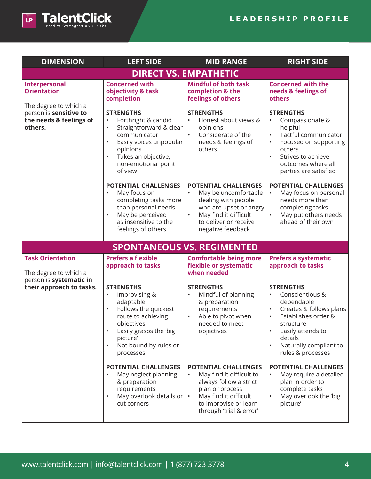

| <b>DIMENSION</b>                                                            | <b>LEFT SIDE</b>                                                                                                                                                                                                                                                   | <b>MID RANGE</b>                                                                                                                                                                                      | <b>RIGHT SIDE</b>                                                                                                                                                                                                                                                                        |
|-----------------------------------------------------------------------------|--------------------------------------------------------------------------------------------------------------------------------------------------------------------------------------------------------------------------------------------------------------------|-------------------------------------------------------------------------------------------------------------------------------------------------------------------------------------------------------|------------------------------------------------------------------------------------------------------------------------------------------------------------------------------------------------------------------------------------------------------------------------------------------|
| <b>DIRECT VS. EMPATHETIC</b>                                                |                                                                                                                                                                                                                                                                    |                                                                                                                                                                                                       |                                                                                                                                                                                                                                                                                          |
| Interpersonal<br><b>Orientation</b><br>The degree to which a                | <b>Concerned with</b><br>objectivity & task<br>completion                                                                                                                                                                                                          | <b>Mindful of both task</b><br>completion & the<br>feelings of others                                                                                                                                 | <b>Concerned with the</b><br>needs & feelings of<br>others                                                                                                                                                                                                                               |
| person is sensitive to<br>the needs & feelings of<br>others.                | <b>STRENGTHS</b><br>Forthright & candid<br>$\bullet$<br>Straightforward & clear<br>$\bullet$<br>communicator<br>Easily voices unpopular<br>$\bullet$<br>opinions<br>Takes an objective,<br>$\bullet$<br>non-emotional point<br>of view                             | <b>STRENGTHS</b><br>Honest about views &<br>$\bullet$<br>opinions<br>$\bullet$<br>Considerate of the<br>needs & feelings of<br>others                                                                 | <b>STRENGTHS</b><br>Compassionate &<br>$\bullet$<br>helpful<br>Tactful communicator<br>$\bullet$<br>Focused on supporting<br>$\bullet$<br>others<br>Strives to achieve<br>$\bullet$<br>outcomes where all<br>parties are satisfied                                                       |
|                                                                             | <b>POTENTIAL CHALLENGES</b><br>May focus on<br>$\bullet$<br>completing tasks more<br>than personal needs<br>May be perceived<br>$\bullet$<br>as insensitive to the<br>feelings of others                                                                           | <b>POTENTIAL CHALLENGES</b><br>May be uncomfortable<br>$\bullet$<br>dealing with people<br>who are upset or angry<br>May find it difficult<br>$\bullet$<br>to deliver or receive<br>negative feedback | <b>POTENTIAL CHALLENGES</b><br>May focus on personal<br>$\bullet$<br>needs more than<br>completing tasks<br>May put others needs<br>$\bullet$<br>ahead of their own                                                                                                                      |
|                                                                             |                                                                                                                                                                                                                                                                    | <b>SPONTANEOUS VS. REGIMENTED</b>                                                                                                                                                                     |                                                                                                                                                                                                                                                                                          |
| <b>Task Orientation</b><br>The degree to which a<br>person is systematic in | <b>Prefers a flexible</b><br>approach to tasks                                                                                                                                                                                                                     | <b>Comfortable being more</b><br>flexible or systematic<br>when needed                                                                                                                                | <b>Prefers a systematic</b><br>approach to tasks                                                                                                                                                                                                                                         |
| their approach to tasks.                                                    | <b>STRENGTHS</b><br>Improvising &<br>$\bullet$<br>adaptable<br>Follows the quickest<br>$\bullet$<br>route to achieving<br>objectives<br>Easily grasps the 'big<br>$\bullet$<br>picture'<br>Not bound by rules or<br>$\bullet$<br>processes<br>POTENTIAL CHALLENGES | <b>STRENGTHS</b><br>Mindful of planning<br>$\bullet$<br>& preparation<br>requirements<br>Able to pivot when<br>$\bullet$<br>needed to meet<br>objectives<br><b>POTENTIAL CHALLENGES</b>               | <b>STRENGTHS</b><br>Conscientious &<br>$\bullet$<br>dependable<br>Creates & follows plans<br>$\bullet$<br>Establishes order &<br>$\bullet$<br>structure<br>Easily attends to<br>$\bullet$<br>details<br>Naturally compliant to<br>$\bullet$<br>rules & processes<br>POTENTIAL CHALLENGES |
|                                                                             | May neglect planning<br>$\bullet$<br>& preparation<br>requirements<br>May overlook details or<br>$\bullet$<br>cut corners                                                                                                                                          | May find it difficult to<br>$\bullet$<br>always follow a strict<br>plan or process<br>May find it difficult<br>$\bullet$<br>to improvise or learn<br>through 'trial & error'                          | May require a detailed<br>plan in order to<br>complete tasks<br>May overlook the 'big<br>picture'                                                                                                                                                                                        |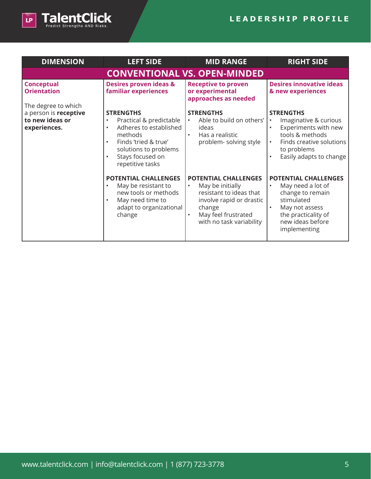

| <b>DIMENSION</b>                                                                | <b>LEFT SIDE</b>                                                                                                                                                                                                              | <b>MID RANGE</b>                                                                                                                                                                              | <b>RIGHT SIDE</b>                                                                                                                                                       |
|---------------------------------------------------------------------------------|-------------------------------------------------------------------------------------------------------------------------------------------------------------------------------------------------------------------------------|-----------------------------------------------------------------------------------------------------------------------------------------------------------------------------------------------|-------------------------------------------------------------------------------------------------------------------------------------------------------------------------|
| <b>CONVENTIONAL VS. OPEN-MINDED</b>                                             |                                                                                                                                                                                                                               |                                                                                                                                                                                               |                                                                                                                                                                         |
| <b>Conceptual</b><br><b>Orientation</b>                                         | <b>Desires proven ideas &amp;</b><br>familiar experiences                                                                                                                                                                     | <b>Receptive to proven</b><br>or experimental<br>approaches as needed                                                                                                                         | <b>Desires innovative ideas</b><br>& new experiences                                                                                                                    |
| The degree to which<br>a person is receptive<br>to new ideas or<br>experiences. | <b>STRENGTHS</b><br>Practical & predictable<br>$\bullet$<br>Adheres to established<br>$\bullet$<br>methods<br>Finds 'tried & true'<br>$\bullet$<br>solutions to problems<br>Stays focused on<br>$\bullet$<br>repetitive tasks | <b>STRENGTHS</b><br>Able to build on others'<br>ideas<br>Has a realistic<br>problem-solving style                                                                                             | <b>STRENGTHS</b><br>Imaginative & curious<br>$\bullet$<br>Experiments with new<br>tools & methods<br>Finds creative solutions<br>to problems<br>Easily adapts to change |
|                                                                                 | <b>POTENTIAL CHALLENGES</b><br>May be resistant to<br>$\bullet$<br>new tools or methods<br>May need time to<br>$\bullet$<br>adapt to organizational<br>change                                                                 | <b>POTENTIAL CHALLENGES</b><br>May be initially<br>$\bullet$<br>resistant to ideas that<br>involve rapid or drastic<br>change<br>May feel frustrated<br>$\bullet$<br>with no task variability | POTENTIAL CHALLENGES<br>May need a lot of<br>$\bullet$<br>change to remain<br>stimulated<br>May not assess<br>the practicality of<br>new ideas before<br>implementing   |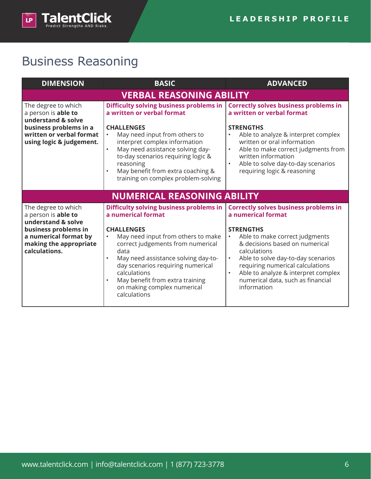

## Business Reasoning

| <b>DIMENSION</b>                                                                                                                                   | <b>BASIC</b>                                                                                                                                                                                                                                                                                                                                                                  | <b>ADVANCED</b>                                                                                                                                                                                                                                                                                                                   |  |
|----------------------------------------------------------------------------------------------------------------------------------------------------|-------------------------------------------------------------------------------------------------------------------------------------------------------------------------------------------------------------------------------------------------------------------------------------------------------------------------------------------------------------------------------|-----------------------------------------------------------------------------------------------------------------------------------------------------------------------------------------------------------------------------------------------------------------------------------------------------------------------------------|--|
| <b>VERBAL REASONING ABILITY</b>                                                                                                                    |                                                                                                                                                                                                                                                                                                                                                                               |                                                                                                                                                                                                                                                                                                                                   |  |
| The degree to which<br>a person is able to<br>understand & solve<br>business problems in a<br>written or verbal format<br>using logic & judgement. | <b>Difficulty solving business problems in</b><br>a written or verbal format<br><b>CHALLENGES</b><br>May need input from others to<br>$\bullet$<br>interpret complex information<br>May need assistance solving day-<br>$\bullet$<br>to-day scenarios requiring logic &<br>reasoning<br>May benefit from extra coaching &<br>$\bullet$<br>training on complex problem-solving | <b>Correctly solves business problems in</b><br>a written or verbal format<br><b>STRENGTHS</b><br>Able to analyze & interpret complex<br>$\bullet$<br>written or oral information<br>Able to make correct judgments from<br>$\bullet$<br>written information<br>Able to solve day-to-day scenarios<br>requiring logic & reasoning |  |
| <b>NUMERICAL REASONING ABILITY</b>                                                                                                                 |                                                                                                                                                                                                                                                                                                                                                                               |                                                                                                                                                                                                                                                                                                                                   |  |
| The degree to which<br>a person is able to<br>understand & solve                                                                                   | <b>Difficulty solving business problems in</b><br>a numerical format                                                                                                                                                                                                                                                                                                          | <b>Correctly solves business problems in</b><br>a numerical format                                                                                                                                                                                                                                                                |  |
| business problems in<br>a numerical format by<br>making the appropriate<br>calculations.                                                           | <b>CHALLENGES</b><br>May need input from others to make<br>correct judgements from numerical<br>data<br>May need assistance solving day-to-<br>$\bullet$<br>day scenarios requiring numerical<br>calculations<br>May benefit from extra training<br>$\bullet$<br>on making complex numerical<br>calculations                                                                  | <b>STRENGTHS</b><br>Able to make correct judgments<br>$\bullet$<br>& decisions based on numerical<br>calculations<br>Able to solve day-to-day scenarios<br>requiring numerical calculations<br>Able to analyze & interpret complex<br>$\bullet$<br>numerical data, such as financial<br>information                               |  |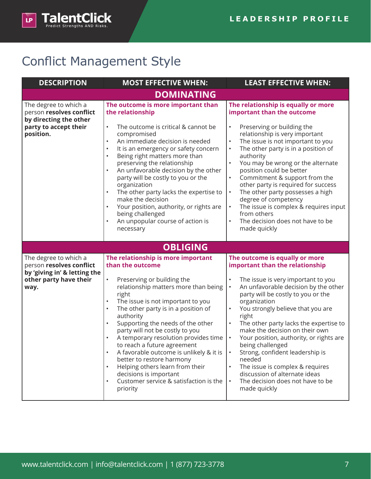

## Conflict Management Style

| <b>DESCRIPTION</b>                                                                                                  | <b>MOST EFFECTIVE WHEN:</b>                                                                                                                                                                                                                                                                                                                                                                                                                                                                                                                                                                           | <b>LEAST EFFECTIVE WHEN:</b>                                                                                                                                                                                                                                                                                                                                                                                                                                                                                                                                                                                                                        |
|---------------------------------------------------------------------------------------------------------------------|-------------------------------------------------------------------------------------------------------------------------------------------------------------------------------------------------------------------------------------------------------------------------------------------------------------------------------------------------------------------------------------------------------------------------------------------------------------------------------------------------------------------------------------------------------------------------------------------------------|-----------------------------------------------------------------------------------------------------------------------------------------------------------------------------------------------------------------------------------------------------------------------------------------------------------------------------------------------------------------------------------------------------------------------------------------------------------------------------------------------------------------------------------------------------------------------------------------------------------------------------------------------------|
|                                                                                                                     | <b>DOMINATING</b>                                                                                                                                                                                                                                                                                                                                                                                                                                                                                                                                                                                     |                                                                                                                                                                                                                                                                                                                                                                                                                                                                                                                                                                                                                                                     |
| The degree to which a<br>person resolves conflict<br>by directing the other<br>party to accept their<br>position.   | The outcome is more important than<br>the relationship<br>The outcome is critical & cannot be<br>$\bullet$<br>compromised<br>An immediate decision is needed<br>$\bullet$<br>It is an emergency or safety concern<br>$\bullet$<br>Being right matters more than<br>$\bullet$<br>preserving the relationship<br>An unfavorable decision by the other<br>party will be costly to you or the<br>organization<br>The other party lacks the expertise to<br>$\bullet$<br>make the decision<br>Your position, authority, or rights are<br>being challenged<br>An unpopular course of action is<br>necessary | The relationship is equally or more<br>important than the outcome<br>Preserving or building the<br>$\bullet$<br>relationship is very important<br>The issue is not important to you<br>$\bullet$<br>The other party is in a position of<br>$\bullet$<br>authority<br>$\bullet$<br>You may be wrong or the alternate<br>position could be better<br>Commitment & support from the<br>$\bullet$<br>other party is required for success<br>The other party possesses a high<br>$\bullet$<br>degree of competency<br>The issue is complex & requires input<br>$\bullet$<br>from others<br>The decision does not have to be<br>$\bullet$<br>made quickly |
|                                                                                                                     | <b>OBLIGING</b>                                                                                                                                                                                                                                                                                                                                                                                                                                                                                                                                                                                       |                                                                                                                                                                                                                                                                                                                                                                                                                                                                                                                                                                                                                                                     |
| The degree to which a<br>person resolves conflict<br>by 'giving in' & letting the<br>other party have their<br>way. | The relationship is more important<br>than the outcome<br>Preserving or building the<br>$\bullet$<br>relationship matters more than being<br>right<br>The issue is not important to you<br>The other party is in a position of<br>authority<br>Supporting the needs of the other<br>party will not be costly to you<br>A temporary resolution provides time<br>to reach a future agreement<br>A favorable outcome is unlikely & it is<br>better to restore harmony<br>Helping others learn from their<br>decisions is important<br>Customer service & satisfaction is the<br>priority                 | The outcome is equally or more<br>important than the relationship<br>The issue is very important to you<br>An unfavorable decision by the other<br>$\bullet$<br>party will be costly to you or the<br>organization<br>You strongly believe that you are<br>$\bullet$<br>right<br>The other party lacks the expertise to<br>$\bullet$<br>make the decision on their own<br>Your position, authority, or rights are<br>being challenged<br>Strong, confident leadership is<br>needed<br>The issue is complex & requires<br>discussion of alternate ideas<br>The decision does not have to be<br>made quickly                                          |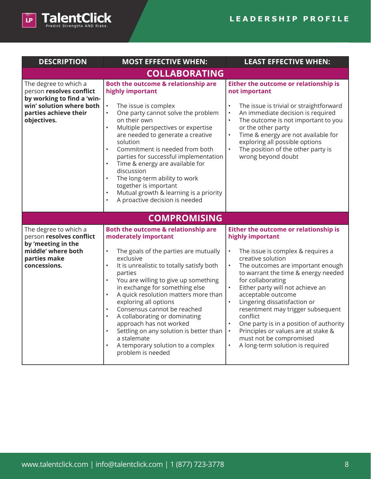

| <b>DESCRIPTION</b>                                                                                                                                  | <b>MOST EFFECTIVE WHEN:</b>                                                                                                                                                                                                                                                                                                                                                                                                                                                                                                                                                                                                                 | <b>LEAST EFFECTIVE WHEN:</b>                                                                                                                                                                                                                                                                                                                                                                                                                                                                                                                                                      |
|-----------------------------------------------------------------------------------------------------------------------------------------------------|---------------------------------------------------------------------------------------------------------------------------------------------------------------------------------------------------------------------------------------------------------------------------------------------------------------------------------------------------------------------------------------------------------------------------------------------------------------------------------------------------------------------------------------------------------------------------------------------------------------------------------------------|-----------------------------------------------------------------------------------------------------------------------------------------------------------------------------------------------------------------------------------------------------------------------------------------------------------------------------------------------------------------------------------------------------------------------------------------------------------------------------------------------------------------------------------------------------------------------------------|
|                                                                                                                                                     | <b>COLLABORATING</b>                                                                                                                                                                                                                                                                                                                                                                                                                                                                                                                                                                                                                        |                                                                                                                                                                                                                                                                                                                                                                                                                                                                                                                                                                                   |
| The degree to which a<br>person resolves conflict<br>by working to find a 'win-<br>win' solution where both<br>parties achieve their<br>objectives. | Both the outcome & relationship are<br>highly important<br>The issue is complex<br>$\bullet$<br>One party cannot solve the problem<br>$\bullet$<br>on their own<br>Multiple perspectives or expertise<br>$\bullet$<br>are needed to generate a creative<br>solution<br>Commitment is needed from both<br>$\bullet$<br>parties for successful implementation<br>Time & energy are available for<br>$\bullet$<br>discussion<br>The long-term ability to work<br>$\bullet$<br>together is important<br>Mutual growth & learning is a priority<br>$\bullet$<br>A proactive decision is needed<br>$\bullet$                                      | Either the outcome or relationship is<br>not important<br>The issue is trivial or straightforward<br>An immediate decision is required<br>$\bullet$<br>The outcome is not important to you<br>$\bullet$<br>or the other party<br>Time & energy are not available for<br>$\bullet$<br>exploring all possible options<br>$\bullet$<br>The position of the other party is<br>wrong beyond doubt                                                                                                                                                                                      |
|                                                                                                                                                     | <b>COMPROMISING</b>                                                                                                                                                                                                                                                                                                                                                                                                                                                                                                                                                                                                                         |                                                                                                                                                                                                                                                                                                                                                                                                                                                                                                                                                                                   |
| The degree to which a<br>person resolves conflict<br>by 'meeting in the<br>middle' where both<br>parties make<br>concessions.                       | Both the outcome & relationship are<br>moderately important<br>The goals of the parties are mutually<br>$\bullet$<br>exclusive<br>It is unrealistic to totally satisfy both<br>$\bullet$<br>parties<br>You are willing to give up something<br>$\bullet$<br>in exchange for something else<br>A quick resolution matters more than<br>$\bullet$<br>exploring all options<br>Consensus cannot be reached<br>$\bullet$<br>A collaborating or dominating<br>$\bullet$<br>approach has not worked<br>Settling on any solution is better than<br>$\bullet$<br>a stalemate<br>A temporary solution to a complex<br>$\bullet$<br>problem is needed | Either the outcome or relationship is<br>highly important<br>$\bullet$<br>The issue is complex & requires a<br>creative solution<br>The outcomes are important enough<br>$\bullet$<br>to warrant the time & energy needed<br>for collaborating<br>Either party will not achieve an<br>acceptable outcome<br>Lingering dissatisfaction or<br>$\bullet$<br>resentment may trigger subsequent<br>conflict<br>One party is in a position of authority<br>Principles or values are at stake &<br>$\bullet$<br>must not be compromised<br>A long-term solution is required<br>$\bullet$ |